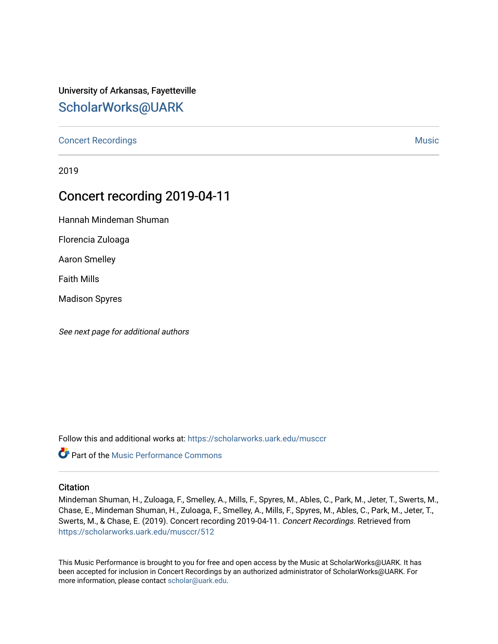# University of Arkansas, Fayetteville [ScholarWorks@UARK](https://scholarworks.uark.edu/)

[Concert Recordings](https://scholarworks.uark.edu/musccr) [Music](https://scholarworks.uark.edu/musc) Network and Security Assembly and Security Assembly Assembly Assembly Assembly Assembly

2019

# Concert recording 2019-04-11

Hannah Mindeman Shuman

Florencia Zuloaga

Aaron Smelley

Faith Mills

Madison Spyres

See next page for additional authors

Follow this and additional works at: [https://scholarworks.uark.edu/musccr](https://scholarworks.uark.edu/musccr?utm_source=scholarworks.uark.edu%2Fmusccr%2F512&utm_medium=PDF&utm_campaign=PDFCoverPages) 

**Part of the [Music Performance Commons](http://network.bepress.com/hgg/discipline/1128?utm_source=scholarworks.uark.edu%2Fmusccr%2F512&utm_medium=PDF&utm_campaign=PDFCoverPages)** 

## **Citation**

Mindeman Shuman, H., Zuloaga, F., Smelley, A., Mills, F., Spyres, M., Ables, C., Park, M., Jeter, T., Swerts, M., Chase, E., Mindeman Shuman, H., Zuloaga, F., Smelley, A., Mills, F., Spyres, M., Ables, C., Park, M., Jeter, T., Swerts, M., & Chase, E. (2019). Concert recording 2019-04-11. Concert Recordings. Retrieved from [https://scholarworks.uark.edu/musccr/512](https://scholarworks.uark.edu/musccr/512?utm_source=scholarworks.uark.edu%2Fmusccr%2F512&utm_medium=PDF&utm_campaign=PDFCoverPages) 

This Music Performance is brought to you for free and open access by the Music at ScholarWorks@UARK. It has been accepted for inclusion in Concert Recordings by an authorized administrator of ScholarWorks@UARK. For more information, please contact [scholar@uark.edu.](mailto:scholar@uark.edu)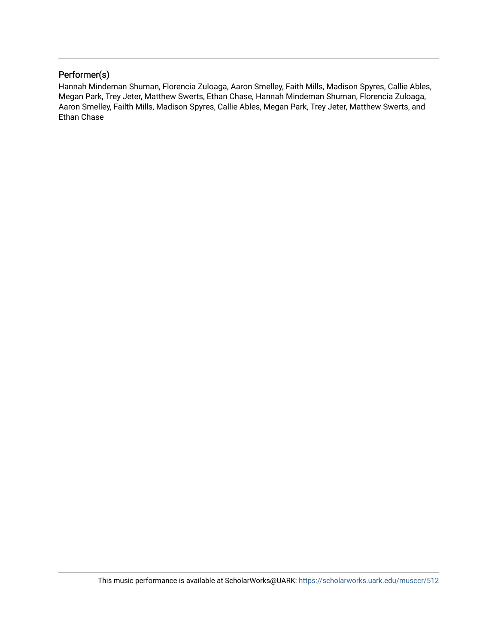## Performer(s)

Hannah Mindeman Shuman, Florencia Zuloaga, Aaron Smelley, Faith Mills, Madison Spyres, Callie Ables, Megan Park, Trey Jeter, Matthew Swerts, Ethan Chase, Hannah Mindeman Shuman, Florencia Zuloaga, Aaron Smelley, Failth Mills, Madison Spyres, Callie Ables, Megan Park, Trey Jeter, Matthew Swerts, and Ethan Chase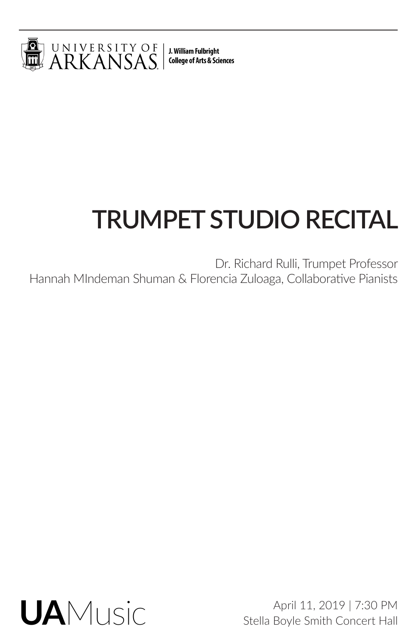

J. William Fulbright **College of Arts & Sciences** 

# **TRUMPET STUDIO RECITAL**

Dr. Richard Rulli, Trumpet Professor Hannah MIndeman Shuman & Florencia Zuloaga, Collaborative Pianists



April 11, 2019 | 7:30 PM Stella Boyle Smith Concert Hall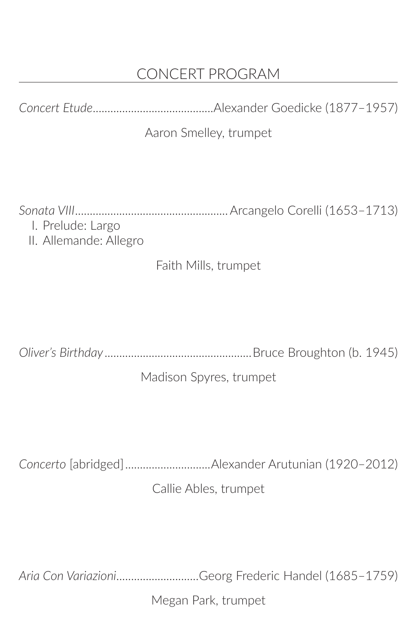# CONCERT PROGRAM

*Concert Etude*.........................................Alexander Goedicke (1877–1957)

## Aaron Smelley, trumpet

*Sonata VIII*....................................................Arcangelo Corelli (1653–1713) I. Prelude: Largo

II. Allemande: Allegro

## Faith Mills, trumpet

*Oliver's Birthday*..................................................Bruce Broughton (b. 1945)

## Madison Spyres, trumpet

*Concerto* [abridged].............................Alexander Arutunian (1920–2012)

Callie Ables, trumpet

*Aria Con Variazioni*............................Georg Frederic Handel (1685–1759)

Megan Park, trumpet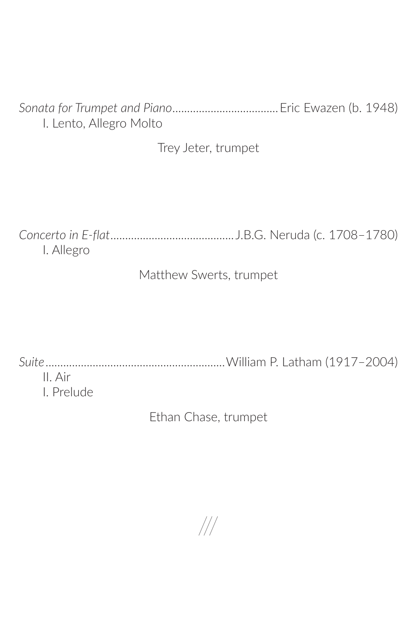*Sonata for Trumpet and Piano*....................................Eric Ewazen (b. 1948) I. Lento, Allegro Molto

Trey Jeter, trumpet

*Concerto in E-flat*.......................................... J.B.G. Neruda (c. 1708–1780) I. Allegro

Matthew Swerts, trumpet

*Suite*.............................................................William P. Latham (1917–2004) II. Air

I. Prelude

Ethan Chase, trumpet

///